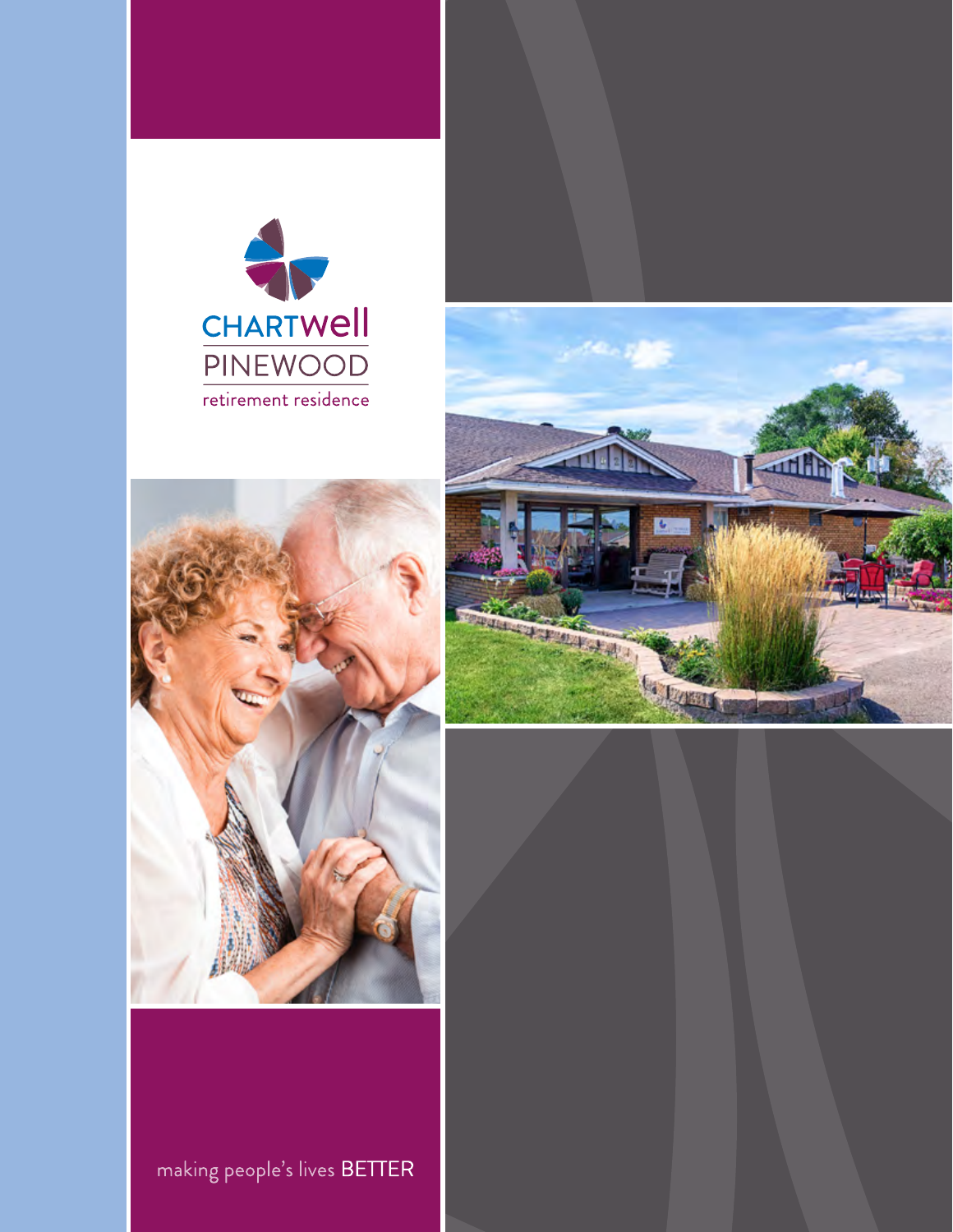





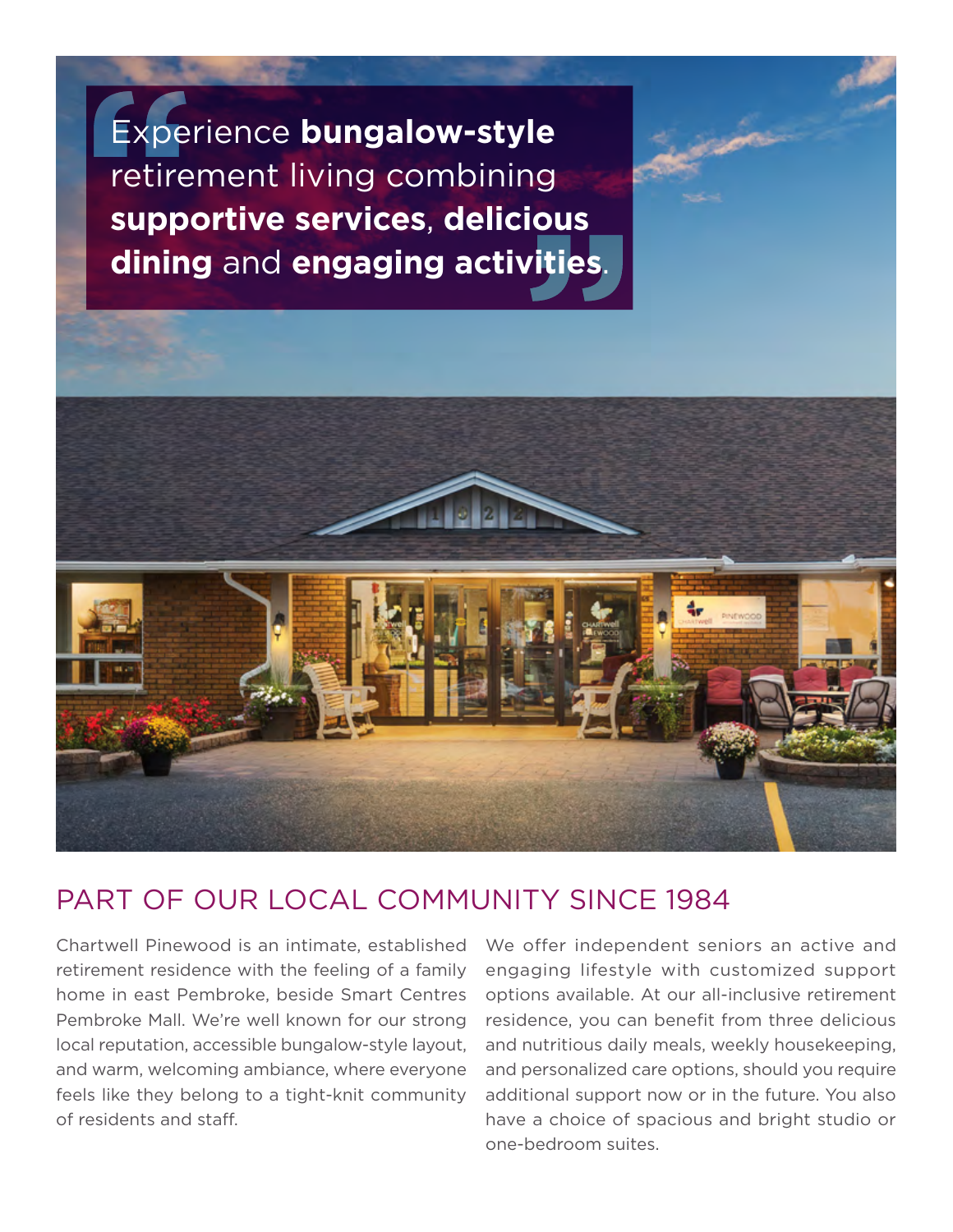Experience **bungalow-style**  retirement living combining **supportive services**, **delicious dining** and **engaging activities**.



## PART OF OUR LOCAL COMMUNITY SINCE 1984

 home in east Pembroke, beside Smart Centres Chartwell Pinewood is an intimate, established retirement residence with the feeling of a family Pembroke Mall. We're well known for our strong local reputation, accessible bungalow-style layout, and warm, welcoming ambiance, where everyone feels like they belong to a tight-knit community of residents and staff.

We offer independent seniors an active and engaging lifestyle with customized support options available. At our all-inclusive retirement residence, you can benefit from three delicious and nutritious daily meals, weekly housekeeping, and personalized care options, should you require additional support now or in the future. You also have a choice of spacious and bright studio or one-bedroom suites.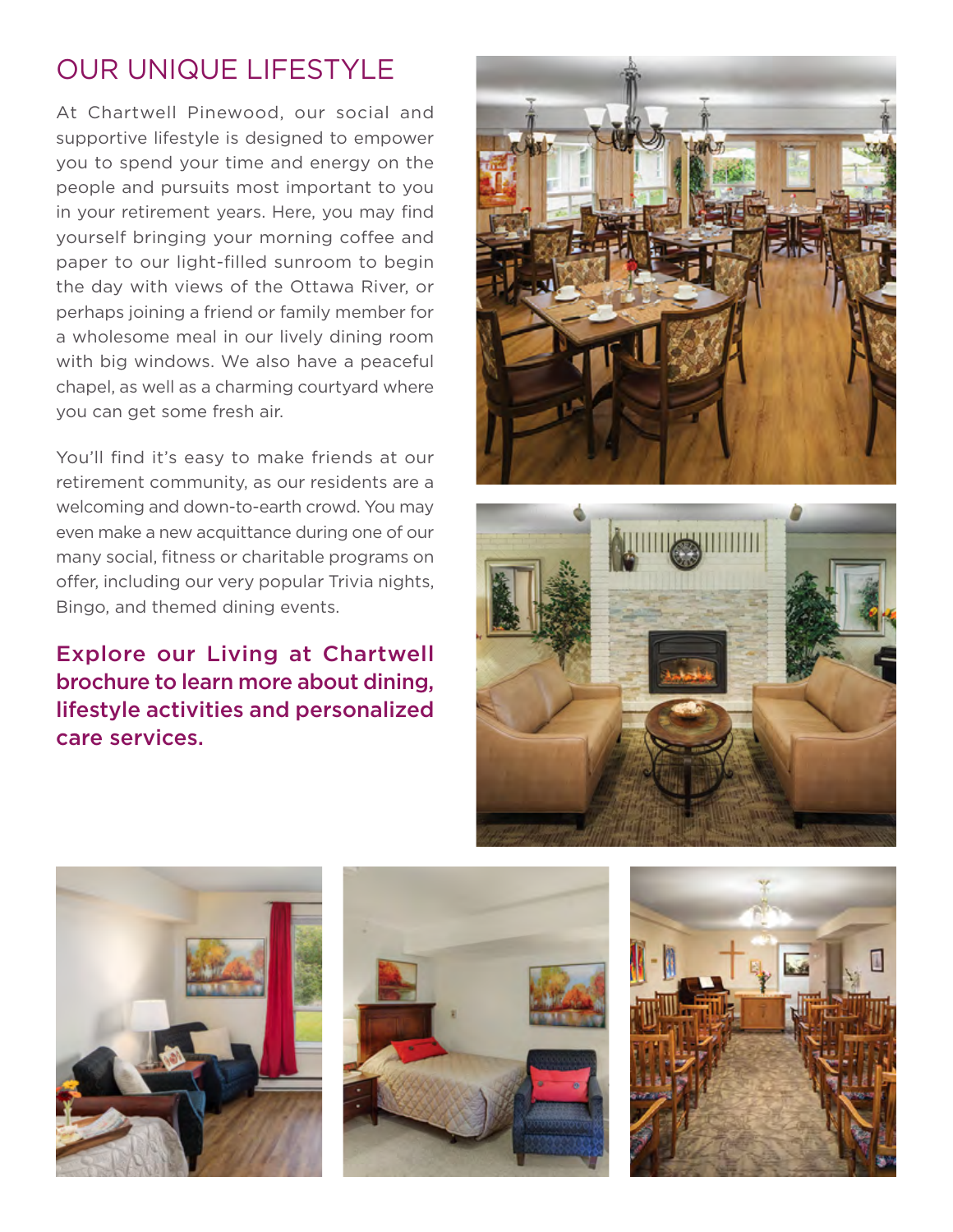## OUR UNIQUE LIFESTYLE

 the day with views of the Ottawa River, or At Chartwell Pinewood, our social and supportive lifestyle is designed to empower you to spend your time and energy on the people and pursuits most important to you in your retirement years. Here, you may find yourself bringing your morning coffee and paper to our light-flled sunroom to begin perhaps joining a friend or family member for a wholesome meal in our lively dining room with big windows. We also have a peaceful chapel, as well as a charming courtyard where you can get some fresh air.

You'll find it's easy to make friends at our retirement community, as our residents are a welcoming and down-to-earth crowd. You may even make a new acquittance during one of our many social, fitness or charitable programs on offer, including our very popular Trivia nights, Bingo, and themed dining events.

Explore our Living at Chartwell brochure to learn more about dining, lifestyle activities and personalized care services.









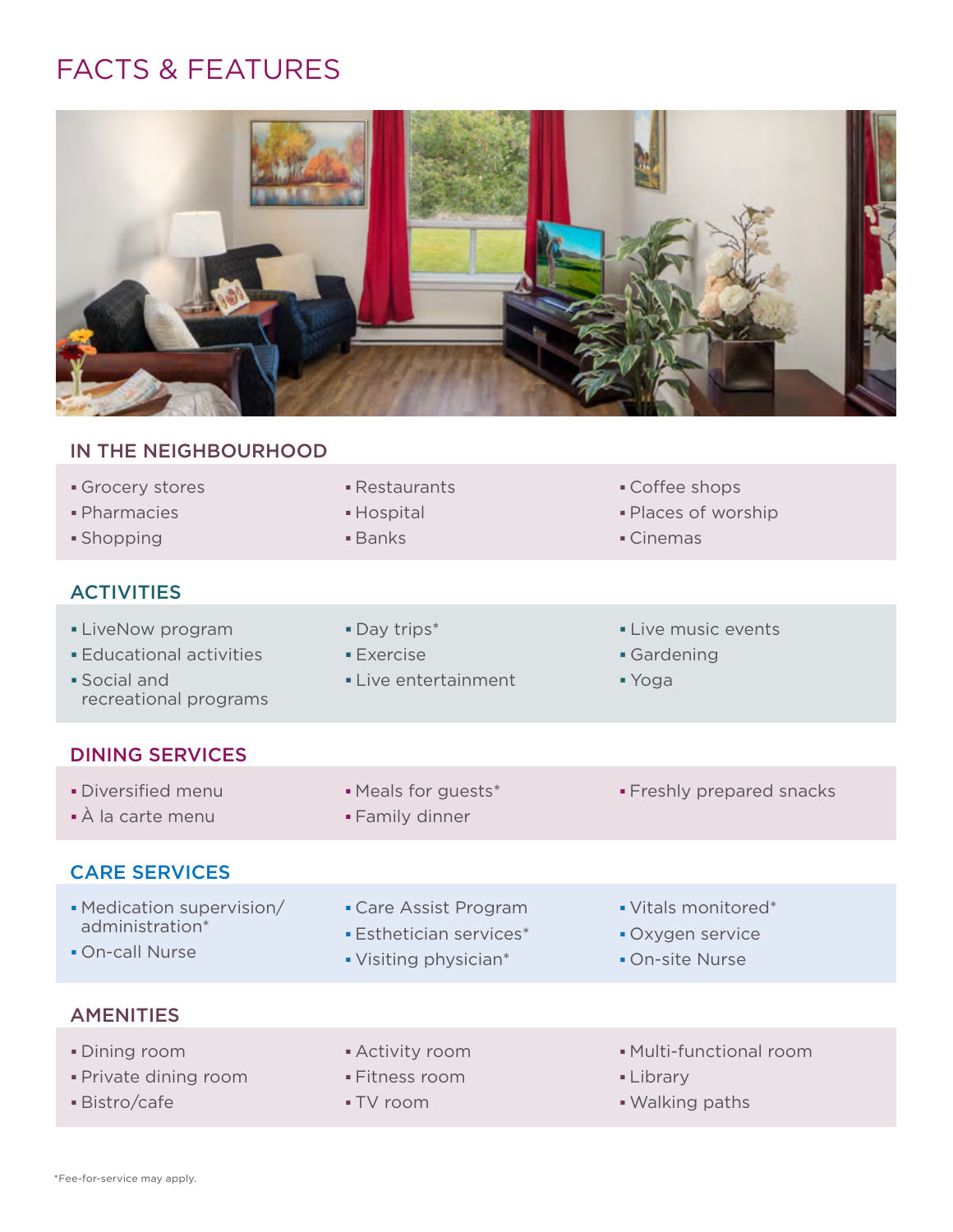## FACTS & FEATURES



## IN THE NEIGHBOURHOOD

| Grocery stores<br>· Pharmacies<br>• Shopping                                                | • Restaurants<br>• Hospital<br><b>Banks</b>                                    | • Coffee shops<br>- Places of worship<br>• Cinemas         |
|---------------------------------------------------------------------------------------------|--------------------------------------------------------------------------------|------------------------------------------------------------|
| <b>ACTIVITIES</b>                                                                           |                                                                                |                                                            |
| • LiveNow program<br><b>Educational activities</b><br>· Social and<br>recreational programs | • Day trips*<br>$\blacksquare$ Exercise<br>• Live entertainment                | • Live music events<br>• Gardening<br>■ Yoga               |
| <b>DINING SERVICES</b>                                                                      |                                                                                |                                                            |
| · Diversified menu<br>• À la carte menu                                                     | • Meals for guests*<br>• Family dinner                                         | • Freshly prepared snacks                                  |
| <b>CARE SERVICES</b>                                                                        |                                                                                |                                                            |
| • Medication supervision/<br>administration*<br>• On-call Nurse                             | • Care Assist Program<br><b>Esthetician services*</b><br>• Visiting physician* | • Vitals monitored*<br>• Oxygen service<br>• On-site Nurse |
| <b>AMENITIES</b>                                                                            |                                                                                |                                                            |
| • Dining room<br>· Private dining room<br>· Bistro/cafe                                     | • Activity room<br>· Fitness room<br>■ TV room                                 | • Multi-functional room<br>• Library<br>• Walking paths    |